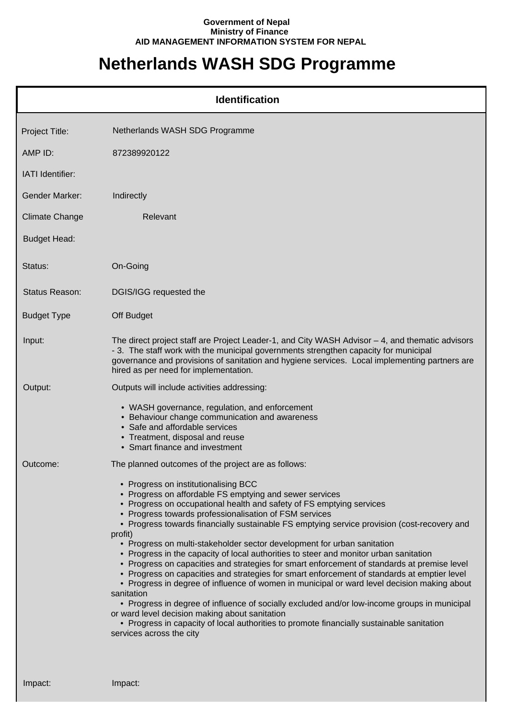## **Government of Nepal Ministry of Finance AID MANAGEMENT INFORMATION SYSTEM FOR NEPAL**

## **Netherlands WASH SDG Programme**

| <b>Identification</b> |                                                                                                                                                                                                                                                                                                                                                                                                                                                                                                                                                                                                                                                                                                                                                                                                                                                                                                                                                                                                                                                                                                       |  |
|-----------------------|-------------------------------------------------------------------------------------------------------------------------------------------------------------------------------------------------------------------------------------------------------------------------------------------------------------------------------------------------------------------------------------------------------------------------------------------------------------------------------------------------------------------------------------------------------------------------------------------------------------------------------------------------------------------------------------------------------------------------------------------------------------------------------------------------------------------------------------------------------------------------------------------------------------------------------------------------------------------------------------------------------------------------------------------------------------------------------------------------------|--|
| Project Title:        | Netherlands WASH SDG Programme                                                                                                                                                                                                                                                                                                                                                                                                                                                                                                                                                                                                                                                                                                                                                                                                                                                                                                                                                                                                                                                                        |  |
| AMP ID:               | 872389920122                                                                                                                                                                                                                                                                                                                                                                                                                                                                                                                                                                                                                                                                                                                                                                                                                                                                                                                                                                                                                                                                                          |  |
| IATI Identifier:      |                                                                                                                                                                                                                                                                                                                                                                                                                                                                                                                                                                                                                                                                                                                                                                                                                                                                                                                                                                                                                                                                                                       |  |
| <b>Gender Marker:</b> | Indirectly                                                                                                                                                                                                                                                                                                                                                                                                                                                                                                                                                                                                                                                                                                                                                                                                                                                                                                                                                                                                                                                                                            |  |
| <b>Climate Change</b> | Relevant                                                                                                                                                                                                                                                                                                                                                                                                                                                                                                                                                                                                                                                                                                                                                                                                                                                                                                                                                                                                                                                                                              |  |
| <b>Budget Head:</b>   |                                                                                                                                                                                                                                                                                                                                                                                                                                                                                                                                                                                                                                                                                                                                                                                                                                                                                                                                                                                                                                                                                                       |  |
| Status:               | On-Going                                                                                                                                                                                                                                                                                                                                                                                                                                                                                                                                                                                                                                                                                                                                                                                                                                                                                                                                                                                                                                                                                              |  |
| Status Reason:        | DGIS/IGG requested the                                                                                                                                                                                                                                                                                                                                                                                                                                                                                                                                                                                                                                                                                                                                                                                                                                                                                                                                                                                                                                                                                |  |
| <b>Budget Type</b>    | Off Budget                                                                                                                                                                                                                                                                                                                                                                                                                                                                                                                                                                                                                                                                                                                                                                                                                                                                                                                                                                                                                                                                                            |  |
| Input:                | The direct project staff are Project Leader-1, and City WASH Advisor - 4, and thematic advisors<br>- 3. The staff work with the municipal governments strengthen capacity for municipal<br>governance and provisions of sanitation and hygiene services. Local implementing partners are<br>hired as per need for implementation.                                                                                                                                                                                                                                                                                                                                                                                                                                                                                                                                                                                                                                                                                                                                                                     |  |
| Output:               | Outputs will include activities addressing:                                                                                                                                                                                                                                                                                                                                                                                                                                                                                                                                                                                                                                                                                                                                                                                                                                                                                                                                                                                                                                                           |  |
|                       | • WASH governance, regulation, and enforcement<br>• Behaviour change communication and awareness<br>• Safe and affordable services<br>• Treatment, disposal and reuse<br>• Smart finance and investment                                                                                                                                                                                                                                                                                                                                                                                                                                                                                                                                                                                                                                                                                                                                                                                                                                                                                               |  |
| Outcome:              | The planned outcomes of the project are as follows:                                                                                                                                                                                                                                                                                                                                                                                                                                                                                                                                                                                                                                                                                                                                                                                                                                                                                                                                                                                                                                                   |  |
|                       | • Progress on institutionalising BCC<br>• Progress on affordable FS emptying and sewer services<br>• Progress on occupational health and safety of FS emptying services<br>• Progress towards professionalisation of FSM services<br>• Progress towards financially sustainable FS emptying service provision (cost-recovery and<br>profit)<br>• Progress on multi-stakeholder sector development for urban sanitation<br>• Progress in the capacity of local authorities to steer and monitor urban sanitation<br>• Progress on capacities and strategies for smart enforcement of standards at premise level<br>• Progress on capacities and strategies for smart enforcement of standards at emptier level<br>• Progress in degree of influence of women in municipal or ward level decision making about<br>sanitation<br>• Progress in degree of influence of socially excluded and/or low-income groups in municipal<br>or ward level decision making about sanitation<br>• Progress in capacity of local authorities to promote financially sustainable sanitation<br>services across the city |  |

Impact: Impact: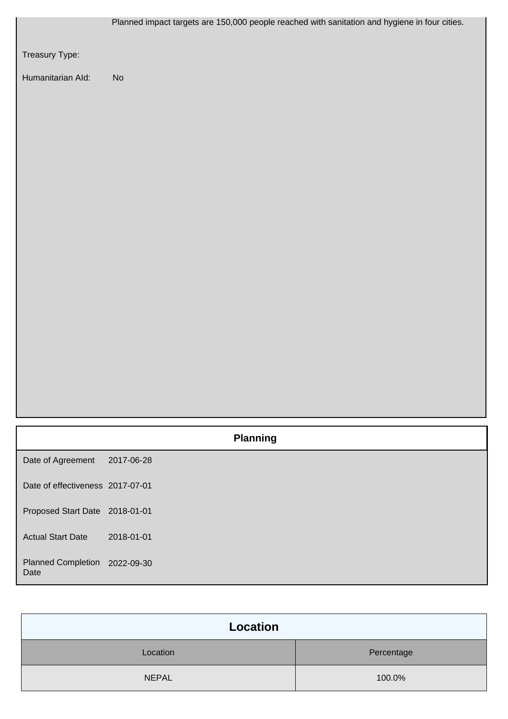|                                       | Planned impact targets are 150,000 people reached with sanitation and hygiene in four cities. |
|---------------------------------------|-----------------------------------------------------------------------------------------------|
| Treasury Type:                        |                                                                                               |
| Humanitarian Ald:                     | $\mathsf{No}$                                                                                 |
|                                       |                                                                                               |
|                                       |                                                                                               |
|                                       |                                                                                               |
|                                       |                                                                                               |
|                                       |                                                                                               |
|                                       |                                                                                               |
|                                       |                                                                                               |
|                                       |                                                                                               |
|                                       |                                                                                               |
|                                       |                                                                                               |
|                                       |                                                                                               |
|                                       |                                                                                               |
|                                       |                                                                                               |
|                                       |                                                                                               |
|                                       | <b>Planning</b>                                                                               |
| Date of Agreement                     | 2017-06-28                                                                                    |
| Date of effectiveness 2017-07-01      |                                                                                               |
| Proposed Start Date 2018-01-01        |                                                                                               |
| <b>Actual Start Date</b>              | 2018-01-01                                                                                    |
| Planned Completion 2022-09-30<br>Date |                                                                                               |

| Location     |            |
|--------------|------------|
| Location     | Percentage |
| <b>NEPAL</b> | 100.0%     |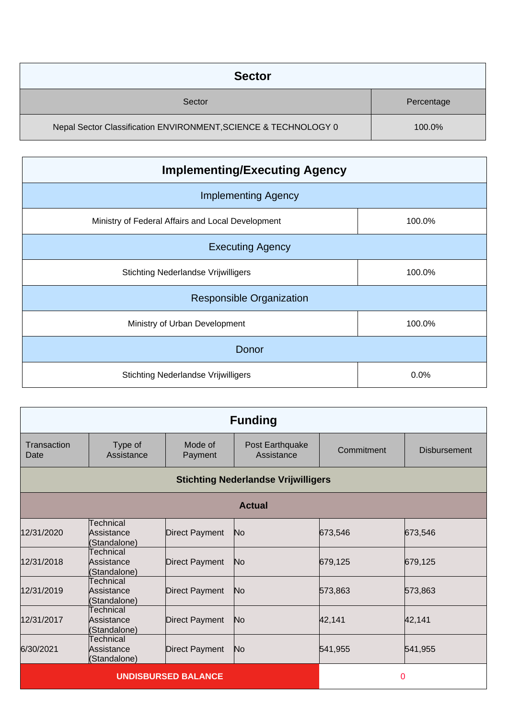| <b>Sector</b>                                                   |            |
|-----------------------------------------------------------------|------------|
| Sector                                                          | Percentage |
| Nepal Sector Classification ENVIRONMENT, SCIENCE & TECHNOLOGY 0 | 100.0%     |

| <b>Implementing/Executing Agency</b>              |        |
|---------------------------------------------------|--------|
| <b>Implementing Agency</b>                        |        |
| Ministry of Federal Affairs and Local Development | 100.0% |
| <b>Executing Agency</b>                           |        |
| <b>Stichting Nederlandse Vrijwilligers</b>        | 100.0% |
| <b>Responsible Organization</b>                   |        |
| Ministry of Urban Development                     | 100.0% |
| Donor                                             |        |
| <b>Stichting Nederlandse Vrijwilligers</b>        | 0.0%   |

| <b>Funding</b>             |                                         |                       |                                            |            |                     |
|----------------------------|-----------------------------------------|-----------------------|--------------------------------------------|------------|---------------------|
| Transaction<br>Date        | Type of<br>Assistance                   | Mode of<br>Payment    | Post Earthquake<br>Assistance              | Commitment | <b>Disbursement</b> |
|                            |                                         |                       | <b>Stichting Nederlandse Vrijwilligers</b> |            |                     |
| <b>Actual</b>              |                                         |                       |                                            |            |                     |
| 12/31/2020                 | Technical<br>Assistance<br>(Standalone) | <b>Direct Payment</b> | No.                                        | 673,546    | 673,546             |
| 12/31/2018                 | Technical<br>Assistance<br>(Standalone) | <b>Direct Payment</b> | No                                         | 679,125    | 679,125             |
| 12/31/2019                 | Technical<br>Assistance<br>(Standalone) | <b>Direct Payment</b> | No                                         | 573,863    | 573,863             |
| 12/31/2017                 | Technical<br>Assistance<br>(Standalone) | Direct Payment        | No                                         | 42,141     | 42,141              |
| 6/30/2021                  | Technical<br>Assistance<br>(Standalone) | Direct Payment        | N <sub>o</sub>                             | 541,955    | 541,955             |
| <b>UNDISBURSED BALANCE</b> |                                         |                       | 0                                          |            |                     |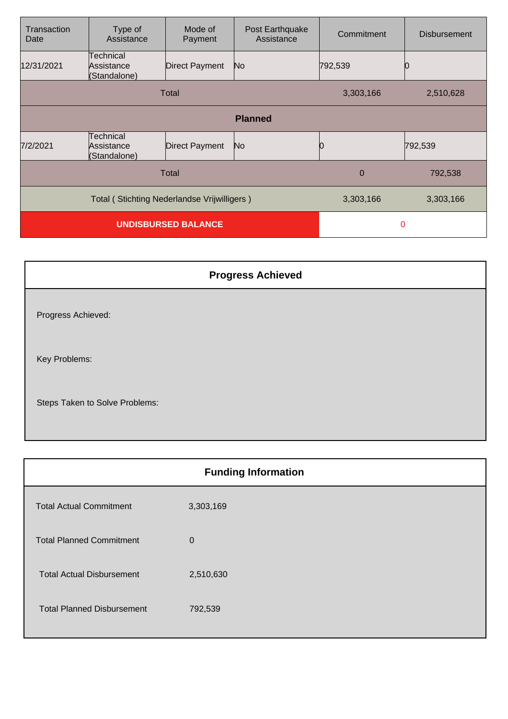| Transaction<br>Date                         | Type of<br>Assistance                          | Mode of<br>Payment    | Post Earthquake<br>Assistance | Commitment | <b>Disbursement</b> |
|---------------------------------------------|------------------------------------------------|-----------------------|-------------------------------|------------|---------------------|
| 12/31/2021                                  | Technical<br>Assistance<br>(Standalone)        | Direct Payment        | N <sub>o</sub>                | 792,539    |                     |
| Total                                       |                                                |                       | 3,303,166                     | 2,510,628  |                     |
| <b>Planned</b>                              |                                                |                       |                               |            |                     |
| 7/2/2021                                    | <b>Technical</b><br>Assistance<br>(Standalone) | <b>Direct Payment</b> | N <sub>o</sub>                |            | 792,539             |
| <b>Total</b>                                |                                                |                       | $\overline{0}$                | 792,538    |                     |
| Total (Stichting Nederlandse Vrijwilligers) |                                                |                       | 3,303,166                     | 3,303,166  |                     |
| <b>UNDISBURSED BALANCE</b>                  |                                                |                       | $\mathbf 0$                   |            |                     |

| <b>Progress Achieved</b>       |
|--------------------------------|
| Progress Achieved:             |
| Key Problems:                  |
| Steps Taken to Solve Problems: |

|                                   | <b>Funding Information</b> |
|-----------------------------------|----------------------------|
| <b>Total Actual Commitment</b>    | 3,303,169                  |
| <b>Total Planned Commitment</b>   | $\mathbf 0$                |
| <b>Total Actual Disbursement</b>  | 2,510,630                  |
| <b>Total Planned Disbursement</b> | 792,539                    |
|                                   |                            |